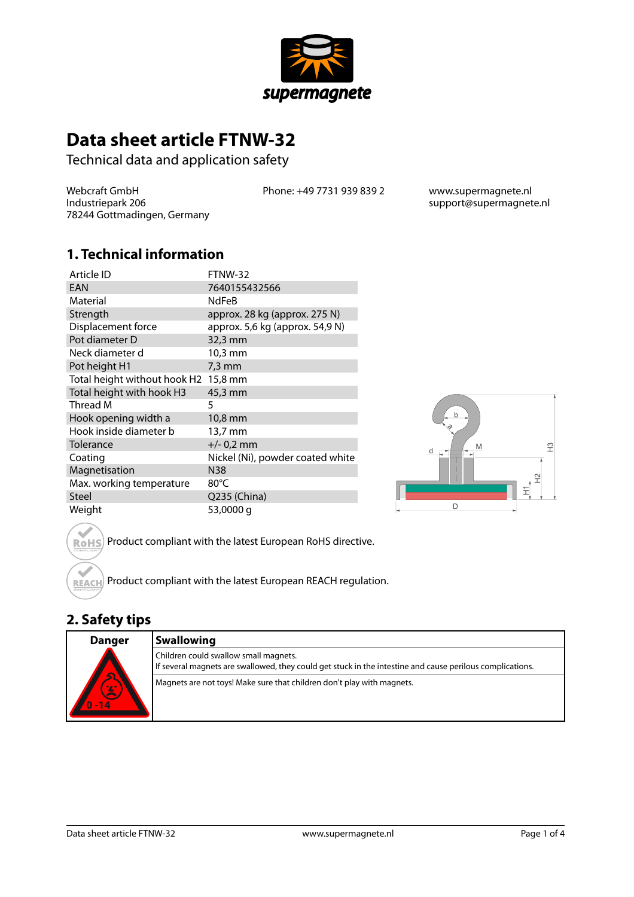

# **Data sheet article FTNW-32**

Technical data and application safety

Webcraft GmbH Industriepark 206 78244 Gottmadingen, Germany Phone: +49 7731 939 839 2 www.supermagnete.nl

support@supermagnete.nl

#### **1. Technical information**

| Article ID                   | FTNW-32                          |
|------------------------------|----------------------------------|
| EAN                          | 7640155432566                    |
| Material                     | <b>NdFeB</b>                     |
| Strength                     | approx. 28 kg (approx. 275 N)    |
| Displacement force           | approx. 5,6 kg (approx. 54,9 N)  |
| Pot diameter D               | 32,3 mm                          |
| Neck diameter d              | 10,3 mm                          |
| Pot height H1                | $7,3 \text{ mm}$                 |
| Total height without hook H2 | $15,8 \text{ mm}$                |
| Total height with hook H3    | 45,3 mm                          |
| Thread M                     | 5                                |
| Hook opening width a         | 10,8 mm                          |
| Hook inside diameter b       | 13,7 mm                          |
| Tolerance                    | $+/- 0.2$ mm                     |
| Coating                      | Nickel (Ni), powder coated white |
| Magnetisation                | N38                              |
| Max. working temperature     | 80°C                             |
| Steel                        | Q235 (China)                     |
| Weight                       | 53,0000 g                        |



Product compliant with the latest European RoHS directive. **RoHS** 

Product compliant with the latest European REACH regulation. **REACH** 

## **2. Safety tips**

| Danger                                  | <b>Swallowing</b>                                                                                                                                  |
|-----------------------------------------|----------------------------------------------------------------------------------------------------------------------------------------------------|
| $\overline{\mathbf{S}}$<br>0/2<br>$-14$ | Children could swallow small magnets.<br>If several magnets are swallowed, they could get stuck in the intestine and cause perilous complications. |
|                                         | Magnets are not toys! Make sure that children don't play with magnets.                                                                             |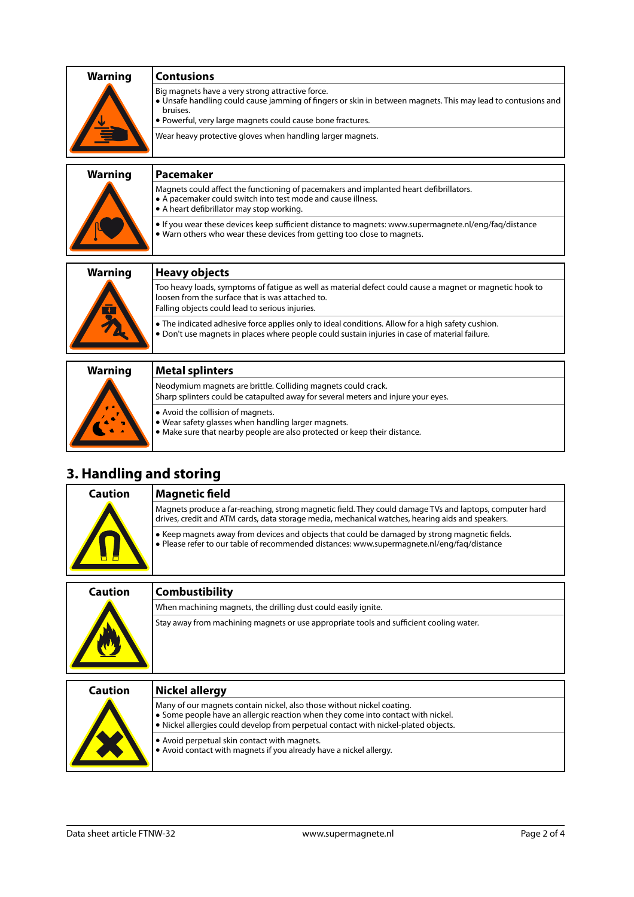| <b>Warning</b> | <b>Contusions</b>                                                                                                                                                                                                                                                                                        |
|----------------|----------------------------------------------------------------------------------------------------------------------------------------------------------------------------------------------------------------------------------------------------------------------------------------------------------|
|                | Big magnets have a very strong attractive force.<br>• Unsafe handling could cause jamming of fingers or skin in between magnets. This may lead to contusions and<br>bruises.<br>. Powerful, very large magnets could cause bone fractures.<br>Wear heavy protective gloves when handling larger magnets. |
|                |                                                                                                                                                                                                                                                                                                          |
| <b>Warning</b> | Pacemaker                                                                                                                                                                                                                                                                                                |
|                | Magnets could affect the functioning of pacemakers and implanted heart defibrillators.<br>• A pacemaker could switch into test mode and cause illness.<br>• A heart defibrillator may stop working.                                                                                                      |
|                | If you wear these devices keep sufficient distance to magnets: www.supermagnete.nl/eng/fag/distance<br>• Warn others who wear these devices from getting too close to magnets.                                                                                                                           |
|                |                                                                                                                                                                                                                                                                                                          |
| <b>Warning</b> | <b>Heavy objects</b>                                                                                                                                                                                                                                                                                     |
|                | Too heavy loads, symptoms of fatique as well as material defect could cause a magnet or magnetic hook to<br>loosen from the surface that is was attached to.<br>Falling objects could lead to serious injuries.                                                                                          |
|                | • The indicated adhesive force applies only to ideal conditions. Allow for a high safety cushion.<br>. Don't use magnets in places where people could sustain injuries in case of material failure.                                                                                                      |
|                |                                                                                                                                                                                                                                                                                                          |
| <b>Warning</b> | <b>Metal splinters</b>                                                                                                                                                                                                                                                                                   |
|                | Neodymium magnets are brittle. Colliding magnets could crack.<br>Charn colintors sould be satapulted away for several meters and injure veur ever                                                                                                                                                        |

|  | Neodymium magnets are brittle. Colliding magnets could crack.<br>Sharp splinters could be catapulted away for several meters and injure your eyes.                          |
|--|-----------------------------------------------------------------------------------------------------------------------------------------------------------------------------|
|  | • Avoid the collision of magnets.<br>$\bullet$ Wear safety glasses when handling larger magnets.<br>Make sure that nearby people are also protected or keep their distance. |

# **3. Handling and storing**

| Caution | <b>Magnetic field</b>                                                                                                                                                                                       |
|---------|-------------------------------------------------------------------------------------------------------------------------------------------------------------------------------------------------------------|
|         | Magnets produce a far-reaching, strong magnetic field. They could damage TVs and laptops, computer hard<br>drives, credit and ATM cards, data storage media, mechanical watches, hearing aids and speakers. |
|         | • Keep magnets away from devices and objects that could be damaged by strong magnetic fields.<br>. Please refer to our table of recommended distances: www.supermagnete.nl/eng/faq/distance                 |
|         |                                                                                                                                                                                                             |

| Caution | Combustibility                                                                          |
|---------|-----------------------------------------------------------------------------------------|
|         | When machining magnets, the drilling dust could easily ignite.                          |
|         | Stay away from machining magnets or use appropriate tools and sufficient cooling water. |
|         |                                                                                         |

| Caution | Nickel allergy                                                                                                                                                                                                                                  |
|---------|-------------------------------------------------------------------------------------------------------------------------------------------------------------------------------------------------------------------------------------------------|
|         | Many of our magnets contain nickel, also those without nickel coating.<br>Some people have an allergic reaction when they come into contact with nickel.<br>• Nickel allergies could develop from perpetual contact with nickel-plated objects. |
|         | • Avoid perpetual skin contact with magnets.<br>. Avoid contact with magnets if you already have a nickel allergy.                                                                                                                              |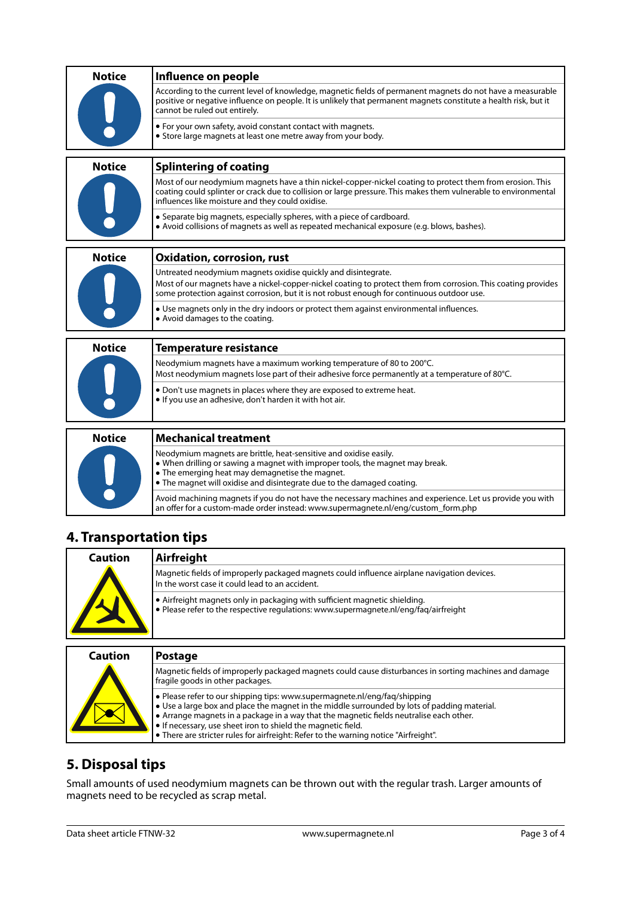| <b>Notice</b> | Influence on people                                                                                                                                                                                                                                                              |
|---------------|----------------------------------------------------------------------------------------------------------------------------------------------------------------------------------------------------------------------------------------------------------------------------------|
|               | According to the current level of knowledge, magnetic fields of permanent magnets do not have a measurable<br>positive or negative influence on people. It is unlikely that permanent magnets constitute a health risk, but it<br>cannot be ruled out entirely.                  |
|               | • For your own safety, avoid constant contact with magnets.<br>• Store large magnets at least one metre away from your body.                                                                                                                                                     |
| <b>Notice</b> | <b>Splintering of coating</b>                                                                                                                                                                                                                                                    |
|               | Most of our neodymium magnets have a thin nickel-copper-nickel coating to protect them from erosion. This<br>coating could splinter or crack due to collision or large pressure. This makes them vulnerable to environmental<br>influences like moisture and they could oxidise. |
|               | • Separate big magnets, especially spheres, with a piece of cardboard.<br>• Avoid collisions of magnets as well as repeated mechanical exposure (e.g. blows, bashes).                                                                                                            |
| <b>Notice</b> | <b>Oxidation, corrosion, rust</b>                                                                                                                                                                                                                                                |
|               | Untreated neodymium magnets oxidise quickly and disintegrate.                                                                                                                                                                                                                    |
|               | Most of our magnets have a nickel-copper-nickel coating to protect them from corrosion. This coating provides<br>some protection against corrosion, but it is not robust enough for continuous outdoor use.                                                                      |
|               | • Use magnets only in the dry indoors or protect them against environmental influences.<br>• Avoid damages to the coating.                                                                                                                                                       |
| <b>Notice</b> | <b>Temperature resistance</b>                                                                                                                                                                                                                                                    |
|               | Neodymium magnets have a maximum working temperature of 80 to 200°C.<br>Most neodymium magnets lose part of their adhesive force permanently at a temperature of 80°C.                                                                                                           |
|               | . Don't use magnets in places where they are exposed to extreme heat.<br>. If you use an adhesive, don't harden it with hot air.                                                                                                                                                 |
| <b>Notice</b> | <b>Mechanical treatment</b>                                                                                                                                                                                                                                                      |
|               | Neodymium magnets are brittle, heat-sensitive and oxidise easily.<br>. When drilling or sawing a magnet with improper tools, the magnet may break.<br>• The emerging heat may demagnetise the magnet.<br>• The magnet will oxidise and disintegrate due to the damaged coating.  |

### **4. Transportation tips**

| Caution | Airfreight                                                                                                                                                         |
|---------|--------------------------------------------------------------------------------------------------------------------------------------------------------------------|
|         | Magnetic fields of improperly packaged magnets could influence airplane navigation devices.<br>In the worst case it could lead to an accident.                     |
|         | • Airfreight magnets only in packaging with sufficient magnetic shielding.<br>• Please refer to the respective regulations: www.supermagnete.nl/eng/fag/airfreight |
| Caution | <b>Postage</b>                                                                                                                                                     |
|         |                                                                                                                                                                    |
|         | Magnetic fields of improperly packaged magnets could cause disturbances in sorting machines and damage<br>fragile goods in other packages.                         |

an offer for a custom-made order instead: [www.supermagnete.nl/eng/custom\\_form.php](http://www.supermagnete.nl/eng/custom_form.php)

Avoid machining magnets if you do not have the necessary machines and experience. Let us provide you with

| l fragile goods in other packages.                                                                                                                                                                                                                                                                                                                                                                                                                           |
|--------------------------------------------------------------------------------------------------------------------------------------------------------------------------------------------------------------------------------------------------------------------------------------------------------------------------------------------------------------------------------------------------------------------------------------------------------------|
| $\bullet$ Please refer to our shipping tips: www.supermagnete.nl/eng/fag/shipping<br>$\bullet$ Use a large box and place the magnet in the middle surrounded by lots of padding material.<br>. Arrange magnets in a package in a way that the magnetic fields neutralise each other.<br>$\bullet$ If necessary, use sheet iron to shield the magnetic field.<br>$\bullet$ There are stricter rules for airfreight: Refer to the warning notice "Airfreight". |

## **5. Disposal tips**

Small amounts of used neodymium magnets can be thrown out with the regular trash. Larger amounts of magnets need to be recycled as scrap metal.